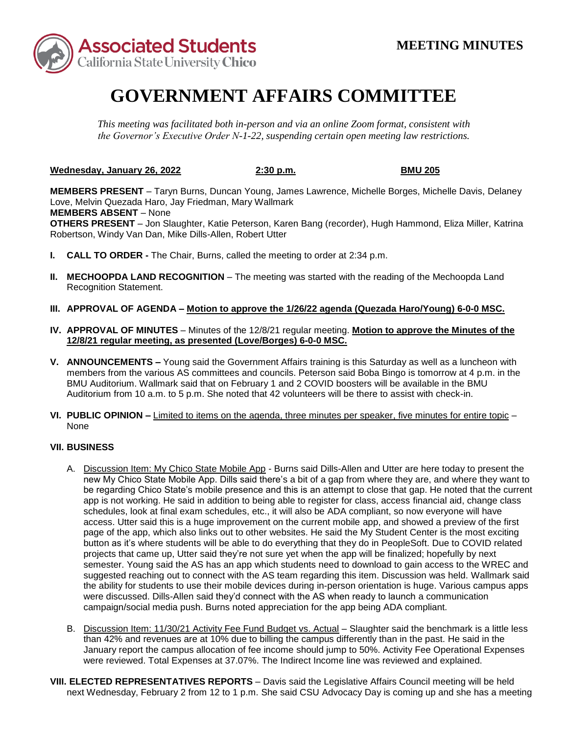

## **GOVERNMENT AFFAIRS COMMITTEE**

*This meeting was facilitated both in-person and via an online Zoom format, consistent with the Governor's Executive Order N-1-22, suspending certain open meeting law restrictions.* 

**Wednesday, January 26, 2022 2:30 p.m. BMU 205** 

 **MEMBERS ABSENT** – None **MEMBERS PRESENT** – Taryn Burns, Duncan Young, James Lawrence, Michelle Borges, Michelle Davis, Delaney Love, Melvin Quezada Haro, Jay Friedman, Mary Wallmark **OTHERS PRESENT** – Jon Slaughter, Katie Peterson, Karen Bang (recorder), Hugh Hammond, Eliza Miller, Katrina Robertson, Windy Van Dan, Mike Dills-Allen, Robert Utter

- **I. CALL TO ORDER -** The Chair, Burns, called the meeting to order at 2:34 p.m.
- **II. MECHOOPDA LAND RECOGNITION** The meeting was started with the reading of the Mechoopda Land Recognition Statement.
- **III. APPROVAL OF AGENDA – Motion to approve the 1/26/22 agenda (Quezada Haro/Young) 6-0-0 MSC.**
- **IV. APPROVAL OF MINUTES**  Minutes of the 12/8/21 regular meeting. **Motion to approve the Minutes of the 12/8/21 regular meeting, as presented (Love/Borges) 6-0-0 MSC.**
- **V. ANNOUNCEMENTS –** Young said the Government Affairs training is this Saturday as well as a luncheon with BMU Auditorium. Wallmark said that on February 1 and 2 COVID boosters will be available in the BMU members from the various AS committees and councils. Peterson said Boba Bingo is tomorrow at 4 p.m. in the Auditorium from 10 a.m. to 5 p.m. She noted that 42 volunteers will be there to assist with check-in.
- **VI. PUBLIC OPINION –** Limited to items on the agenda, three minutes per speaker, five minutes for entire topic None

## **VII. BUSINESS**

- new My Chico State Mobile App. Dills said there's a bit of a gap from where they are, and where they want to schedules, look at final exam schedules, etc., it will also be ADA compliant, so now everyone will have button as it's where students will be able to do everything that they do in PeopleSoft. Due to COVID related projects that came up, Utter said they're not sure yet when the app will be finalized; hopefully by next semester. Young said the AS has an app which students need to download to gain access to the WREC and suggested reaching out to connect with the AS team regarding this item. Discussion was held. Wallmark said A. Discussion Item: My Chico State Mobile App - Burns said Dills-Allen and Utter are here today to present the be regarding Chico State's mobile presence and this is an attempt to close that gap. He noted that the current app is not working. He said in addition to being able to register for class, access financial aid, change class access. Utter said this is a huge improvement on the current mobile app, and showed a preview of the first page of the app, which also links out to other websites. He said the My Student Center is the most exciting the ability for students to use their mobile devices during in-person orientation is huge. Various campus apps were discussed. Dills-Allen said they'd connect with the AS when ready to launch a communication campaign/social media push. Burns noted appreciation for the app being ADA compliant.
- January report the campus allocation of fee income should jump to 50%. Activity Fee Operational Expenses B. Discussion Item: 11/30/21 Activity Fee Fund Budget vs. Actual – Slaughter said the benchmark is a little less than 42% and revenues are at 10% due to billing the campus differently than in the past. He said in the were reviewed. Total Expenses at 37.07%. The Indirect Income line was reviewed and explained.
- **VIII. ELECTED REPRESENTATIVES REPORTS** Davis said the Legislative Affairs Council meeting will be held next Wednesday, February 2 from 12 to 1 p.m. She said CSU Advocacy Day is coming up and she has a meeting